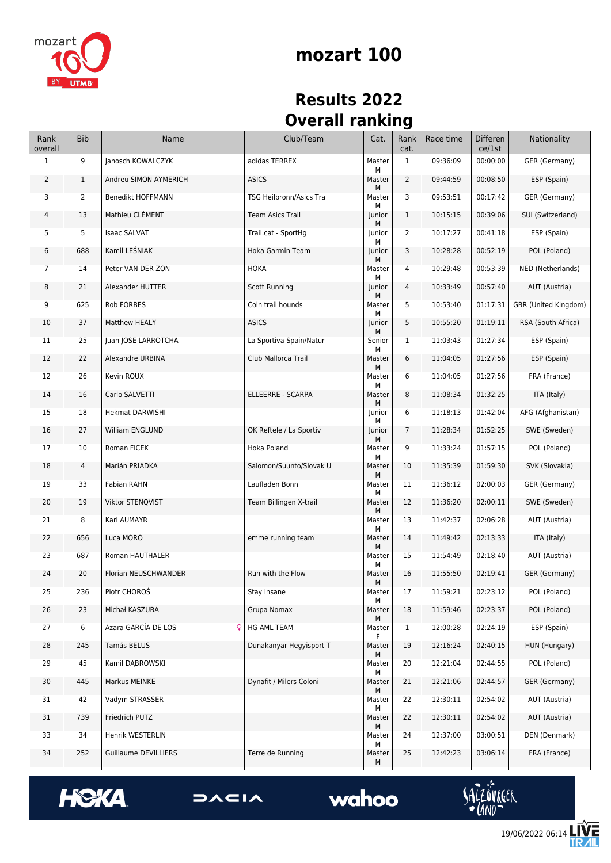

#### **mozart 100**

#### **Results 2022 Overall ranking**

| Rank<br>overall | <b>Bib</b>   | Name                        | Club/Team               | Cat.        | Rank<br>cat.   | Race time | <b>Differen</b><br>ce/1st | Nationality          |
|-----------------|--------------|-----------------------------|-------------------------|-------------|----------------|-----------|---------------------------|----------------------|
| 1               | 9            | Janosch KOWALCZYK           | adidas TERREX           | Master<br>М | 1              | 09:36:09  | 00:00:00                  | GER (Germany)        |
| $\overline{2}$  | $\mathbf{1}$ | Andreu SIMON AYMERICH       | <b>ASICS</b>            | Master<br>М | 2              | 09:44:59  | 00:08:50                  | ESP (Spain)          |
| 3               | 2            | Benedikt HOFFMANN           | TSG Heilbronn/Asics Tra | Master<br>М | 3              | 09:53:51  | 00:17:42                  | GER (Germany)        |
| 4               | 13           | Mathieu CLÉMENT             | <b>Team Asics Trail</b> | Junior<br>М | $\mathbf{1}$   | 10:15:15  | 00:39:06                  | SUI (Switzerland)    |
| 5               | 5            | <b>Isaac SALVAT</b>         | Trail.cat - SportHg     | Junior<br>М | 2              | 10:17:27  | 00:41:18                  | ESP (Spain)          |
| 6               | 688          | Kamil LESNIAK               | Hoka Garmin Team        | Junior<br>М | 3              | 10:28:28  | 00:52:19                  | POL (Poland)         |
| 7               | 14           | Peter VAN DER ZON           | <b>HOKA</b>             | Master<br>М | 4              | 10:29:48  | 00:53:39                  | NED (Netherlands)    |
| 8               | 21           | Alexander HUTTER            | <b>Scott Running</b>    | Junior<br>М | 4              | 10:33:49  | 00:57:40                  | AUT (Austria)        |
| 9               | 625          | Rob FORBES                  | Coln trail hounds       | Master<br>М | 5              | 10:53:40  | 01:17:31                  | GBR (United Kingdom) |
| 10              | 37           | Matthew HEALY               | <b>ASICS</b>            | Junior<br>М | 5              | 10:55:20  | 01:19:11                  | RSA (South Africa)   |
| 11              | 25           | Juan JOSE LARROTCHA         | La Sportiva Spain/Natur | Senior<br>М | $\mathbf{1}$   | 11:03:43  | 01:27:34                  | ESP (Spain)          |
| 12              | 22           | Alexandre URBINA            | Club Mallorca Trail     | Master<br>М | 6              | 11:04:05  | 01:27:56                  | ESP (Spain)          |
| 12              | 26           | Kevin ROUX                  |                         | Master<br>М | 6              | 11:04:05  | 01:27:56                  | FRA (France)         |
| 14              | 16           | Carlo SALVETTI              | ELLEERRE - SCARPA       | Master<br>М | 8              | 11:08:34  | 01:32:25                  | ITA (Italy)          |
| 15              | 18           | <b>Hekmat DARWISHI</b>      |                         | Junior<br>М | 6              | 11:18:13  | 01:42:04                  | AFG (Afghanistan)    |
| 16              | 27           | William ENGLUND             | OK Reftele / La Sportiv | Junior<br>М | $\overline{7}$ | 11:28:34  | 01:52:25                  | SWE (Sweden)         |
| 17              | 10           | Roman FICEK                 | Hoka Poland             | Master<br>М | 9              | 11:33:24  | 01:57:15                  | POL (Poland)         |
| 18              | 4            | Marián PRIADKA              | Salomon/Suunto/Slovak U | Master<br>М | 10             | 11:35:39  | 01:59:30                  | SVK (Slovakia)       |
| 19              | 33           | Fabian RAHN                 | Laufladen Bonn          | Master<br>М | 11             | 11:36:12  | 02:00:03                  | GER (Germany)        |
| 20              | 19           | Viktor STENQVIST            | Team Billingen X-trail  | Master<br>М | 12             | 11:36:20  | 02:00:11                  | SWE (Sweden)         |
| 21              | 8            | Karl AUMAYR                 |                         | Master<br>М | 13             | 11:42:37  | 02:06:28                  | AUT (Austria)        |
| 22              | 656          | Luca MORO                   | emme running team       | Master<br>М | 14             | 11:49:42  | 02:13:33                  | ITA (Italy)          |
| 23              | 687          | Roman HAUTHALER             |                         | Master<br>М | 15             | 11:54:49  | 02:18:40                  | AUT (Austria)        |
| 24              | 20           | Florian NEUSCHWANDER        | Run with the Flow       | Master<br>М | 16             | 11:55:50  | 02:19:41                  | GER (Germany)        |
| 25              | 236          | Piotr CHOROŚ                | Stay Insane             | Master<br>М | 17             | 11:59:21  | 02:23:12                  | POL (Poland)         |
| 26              | 23           | Michał KASZUBA              | Grupa Nomax             | Master<br>М | 18             | 11:59:46  | 02:23:37                  | POL (Poland)         |
| 27              | 6            | Azara GARCÍA DE LOS<br>Q    | HG AML TEAM             | Master<br>F | $\mathbf{1}$   | 12:00:28  | 02:24:19                  | ESP (Spain)          |
| 28              | 245          | Tamás BELUS                 | Dunakanyar Hegyisport T | Master<br>М | 19             | 12:16:24  | 02:40:15                  | HUN (Hungary)        |
| 29              | 45           | Kamil DABROWSKI             |                         | Master<br>М | 20             | 12:21:04  | 02:44:55                  | POL (Poland)         |
| 30              | 445          | Markus MEINKE               | Dynafit / Milers Coloni | Master<br>М | 21             | 12:21:06  | 02:44:57                  | GER (Germany)        |
| 31              | 42           | Vadym STRASSER              |                         | Master<br>М | 22             | 12:30:11  | 02:54:02                  | AUT (Austria)        |
| 31              | 739          | Friedrich PUTZ              |                         | Master<br>М | 22             | 12:30:11  | 02:54:02                  | AUT (Austria)        |
| 33              | 34           | Henrik WESTERLIN            |                         | Master<br>М | 24             | 12:37:00  | 03:00:51                  | DEN (Denmark)        |
| 34              | 252          | <b>Guillaume DEVILLIERS</b> | Terre de Running        | Master<br>М | 25             | 12:42:23  | 03:06:14                  | FRA (France)         |







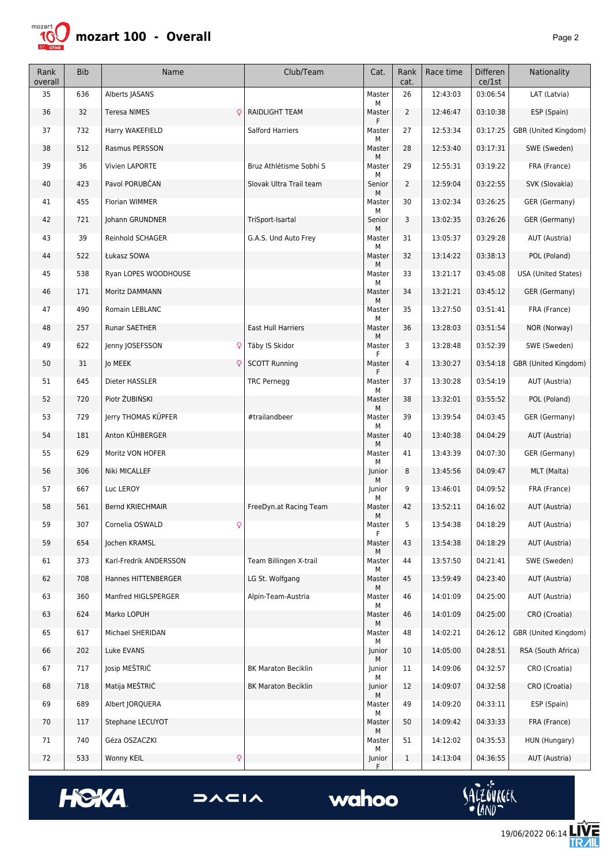

| Rank<br>overall | <b>Bib</b> | Name                    | Club/Team                  | Cat.             | Rank<br>cat.   | Race time | <b>Differen</b><br>ce/1st | Nationality          |
|-----------------|------------|-------------------------|----------------------------|------------------|----------------|-----------|---------------------------|----------------------|
| 35              | 636        | Alberts JASANS          |                            | Master<br>М      | 26             | 12:43:03  | 03:06:54                  | LAT (Latvia)         |
| 36              | 32         | <b>Teresa NIMES</b>     | RAIDLIGHT TEAM             | Master<br>F      | $\overline{2}$ | 12:46:47  | 03:10:38                  | ESP (Spain)          |
| 37              | 732        | Harry WAKEFIELD         | Salford Harriers           | Master<br>М      | 27             | 12:53:34  | 03:17:25                  | GBR (United Kingdom) |
| 38              | 512        | Rasmus PERSSON          |                            | Master           | 28             | 12:53:40  | 03:17:31                  | SWE (Sweden)         |
| 39              | 36         | Vivien LAPORTE          | Bruz Athlétisme Sobhi S    | М<br>Master      | 29             | 12:55:31  | 03:19:22                  | FRA (France)         |
| 40              | 423        | Pavol PORUBČAN          | Slovak Ultra Trail team    | М<br>Senior<br>м | $\overline{2}$ | 12:59:04  | 03:22:55                  | SVK (Slovakia)       |
| 41              | 455        | Florian WIMMER          |                            | Master           | 30             | 13:02:34  | 03:26:25                  | GER (Germany)        |
| 42              | 721        | Johann GRUNDNER         | TriSport-Isartal           | М<br>Senior      | 3              | 13:02:35  | 03:26:26                  | GER (Germany)        |
| 43              | 39         | Reinhold SCHAGER        | G.A.S. Und Auto Frey       | М<br>Master<br>М | 31             | 13:05:37  | 03:29:28                  | AUT (Austria)        |
| 44              | 522        | Łukasz SOWA             |                            | Master<br>М      | 32             | 13:14:22  | 03:38:13                  | POL (Poland)         |
| 45              | 538        | Ryan LOPES WOODHOUSE    |                            | Master<br>М      | 33             | 13:21:17  | 03:45:08                  | USA (United States)  |
| 46              | 171        | Moritz DAMMANN          |                            | Master<br>М      | 34             | 13:21:21  | 03:45:12                  | GER (Germany)        |
| 47              | 490        | Romain LEBLANC          |                            | Master<br>М      | 35             | 13:27:50  | 03:51:41                  | FRA (France)         |
| 48              | 257        | <b>Runar SAETHER</b>    | East Hull Harriers         | Master           | 36             | 13:28:03  | 03:51:54                  | NOR (Norway)         |
| 49              | 622        | Jenny JOSEFSSON<br>Q    | Täby IS Skidor             | М<br>Master      | 3              | 13:28:48  | 03:52:39                  | SWE (Sweden)         |
| 50              | 31         | Jo MEEK<br>Q            | <b>SCOTT Running</b>       | F<br>Master<br>F | 4              | 13:30:27  | 03:54:18                  | GBR (United Kingdom) |
| 51              | 645        | Dieter HASSLER          | <b>TRC Pernegg</b>         | Master           | 37             | 13:30:28  | 03:54:19                  | AUT (Austria)        |
| 52              | 720        | Piotr ŻUBIŃSKI          |                            | М<br>Master      | 38             | 13:32:01  | 03:55:52                  | POL (Poland)         |
| 53              | 729        | Jerry THOMAS KÜPFER     | #trailandbeer              | м<br>Master      | 39             | 13:39:54  | 04:03:45                  | GER (Germany)        |
| 54              | 181        | Anton KÜHBERGER         |                            | М<br>Master<br>М | 40             | 13:40:38  | 04:04:29                  | AUT (Austria)        |
| 55              | 629        | Moritz VON HOFER        |                            | Master           | 41             | 13:43:39  | 04:07:30                  | GER (Germany)        |
| 56              | 306        | Niki MICALLEF           |                            | М<br>Junior<br>м | 8              | 13:45:56  | 04:09:47                  | MLT (Malta)          |
| 57              | 667        | Luc LEROY               |                            | Junior<br>М      | 9              | 13:46:01  | 04:09:52                  | FRA (France)         |
| 58              | 561        | <b>Bernd KRIECHMAIR</b> | FreeDyn.at Racing Team     | Master           | 42             | 13:52:11  | 04:16:02                  | AUT (Austria)        |
| 59              | 307        | Cornelia OSWALD<br>ò    |                            | М<br>Master<br>F | 5              | 13:54:38  | 04:18:29                  | AUT (Austria)        |
| 59              | 654        | Jochen KRAMSL           |                            | Master<br>М      | 43             | 13:54:38  | 04:18:29                  | AUT (Austria)        |
| 61              | 373        | Karl-Fredrik ANDERSSON  | Team Billingen X-trail     | Master           | 44             | 13:57:50  | 04:21:41                  | SWE (Sweden)         |
| 62              | 708        | Hannes HITTENBERGER     | LG St. Wolfgang            | М<br>Master<br>М | 45             | 13:59:49  | 04:23:40                  | AUT (Austria)        |
| 63              | 360        | Manfred HIGLSPERGER     | Alpin-Team-Austria         | Master<br>М      | 46             | 14:01:09  | 04:25:00                  | AUT (Austria)        |
| 63              | 624        | Marko LOPUH             |                            | Master           | 46             | 14:01:09  | 04:25:00                  | CRO (Croatia)        |
| 65              | 617        | Michael SHERIDAN        |                            | М<br>Master      | 48             | 14:02:21  | 04:26:12                  | GBR (United Kingdom) |
| 66              | 202        | Luke EVANS              |                            | М<br>Junior      | 10             | 14:05:00  | 04:28:51                  | RSA (South Africa)   |
| 67              | 717        | Josip MEŠTRIĆ           | <b>BK Maraton Beciklin</b> | М<br>Junior      | 11             | 14:09:06  | 04:32:57                  | CRO (Croatia)        |
| 68              | 718        | Matija MEŠTRIĆ          | <b>BK Maraton Beciklin</b> | м<br>Junior      | 12             | 14:09:07  | 04:32:58                  | CRO (Croatia)        |
| 69              | 689        | Albert JORQUERA         |                            | м<br>Master      | 49             | 14:09:20  | 04:33:11                  | ESP (Spain)          |
| 70              | 117        | Stephane LECUYOT        |                            | М<br>Master      | 50             | 14:09:42  | 04:33:33                  | FRA (France)         |
| 71              | 740        | Géza OSZACZKI           |                            | М<br>Master      | 51             | 14:12:02  | 04:35:53                  | HUN (Hungary)        |
| 72              | 533        | Q<br>Wonny KEIL         |                            | М<br>Junior      | $\mathbf{1}$   | 14:13:04  | 04:36:55                  | AUT (Austria)        |



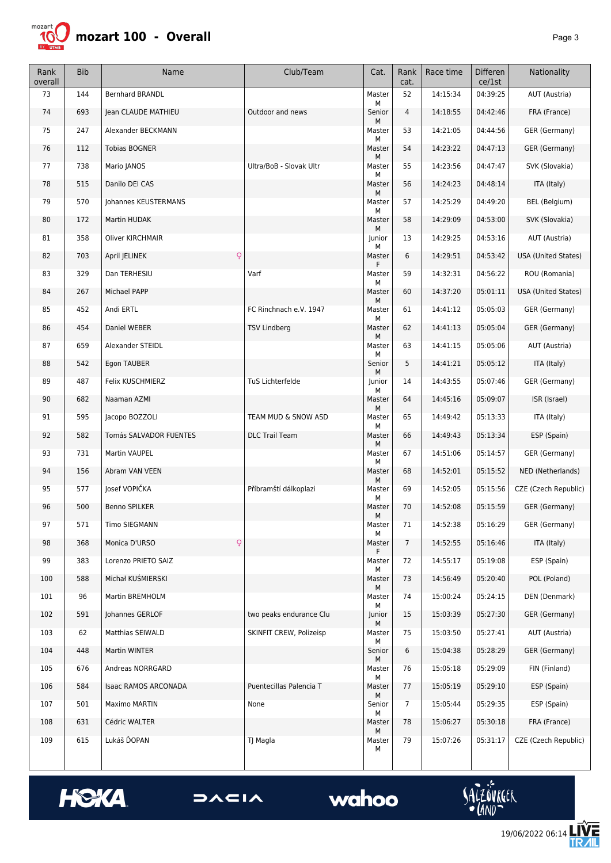

| Rank<br>overall | <b>Bib</b> | Name                          | Club/Team               | Cat.             | Rank<br>cat.   | Race time | Differen<br>ce/1st | Nationality                |
|-----------------|------------|-------------------------------|-------------------------|------------------|----------------|-----------|--------------------|----------------------------|
| 73              | 144        | <b>Bernhard BRANDL</b>        |                         | Master<br>М      | 52             | 14:15:34  | 04:39:25           | AUT (Austria)              |
| 74              | 693        | Jean CLAUDE MATHIEU           | Outdoor and news        | Senior           | 4              | 14:18:55  | 04:42:46           | FRA (France)               |
| 75              | 247        | Alexander BECKMANN            |                         | М<br>Master<br>М | 53             | 14:21:05  | 04:44:56           | GER (Germany)              |
| 76              | 112        | <b>Tobias BOGNER</b>          |                         | Master           | 54             | 14:23:22  | 04:47:13           | GER (Germany)              |
| 77              | 738        | Mario JANOS                   | Ultra/BoB - Slovak Ultr | М<br>Master      | 55             | 14:23:56  | 04:47:47           | SVK (Slovakia)             |
| 78              | 515        | Danilo DEI CAS                |                         | М<br>Master      | 56             | 14:24:23  | 04:48:14           | ITA (Italy)                |
| 79              | 570        | Johannes KEUSTERMANS          |                         | М<br>Master      | 57             | 14:25:29  | 04:49:20           | BEL (Belgium)              |
| 80              | 172        | Martin HUDAK                  |                         | М<br>Master      | 58             | 14:29:09  | 04:53:00           | SVK (Slovakia)             |
| 81              | 358        | <b>Oliver KIRCHMAIR</b>       |                         | М<br>Junior<br>М | 13             | 14:29:25  | 04:53:16           | AUT (Austria)              |
| 82              | 703        | $\mathsf{Q}$<br>April JELINEK |                         | Master<br>F      | 6              | 14:29:51  | 04:53:42           | <b>USA (United States)</b> |
| 83              | 329        | Dan TERHESIU                  | Varf                    | Master           | 59             | 14:32:31  | 04:56:22           | ROU (Romania)              |
| 84              | 267        | Michael PAPP                  |                         | М<br>Master<br>М | 60             | 14:37:20  | 05:01:11           | <b>USA (United States)</b> |
| 85              | 452        | Andi ERTL                     | FC Rinchnach e.V. 1947  | Master<br>М      | 61             | 14:41:12  | 05:05:03           | GER (Germany)              |
| 86              | 454        | Daniel WEBER                  | <b>TSV Lindberg</b>     | Master           | 62             | 14:41:13  | 05:05:04           | GER (Germany)              |
| 87              | 659        | Alexander STEIDL              |                         | М<br>Master      | 63             | 14:41:15  | 05:05:06           | AUT (Austria)              |
| 88              | 542        | Egon TAUBER                   |                         | M<br>Senior      | 5              | 14:41:21  | 05:05:12           | ITA (Italy)                |
| 89              | 487        | Felix KUSCHMIERZ              | TuS Lichterfelde        | М<br>Junior      | 14             | 14:43:55  | 05:07:46           | <b>GER (Germany)</b>       |
| 90              | 682        | Naaman AZMI                   |                         | м<br>Master      | 64             | 14:45:16  | 05:09:07           | ISR (Israel)               |
| 91              | 595        | Jacopo BOZZOLI                | TEAM MUD & SNOW ASD     | М<br>Master<br>М | 65             | 14:49:42  | 05:13:33           | ITA (Italy)                |
| 92              | 582        | Tomás SALVADOR FUENTES        | <b>DLC Trail Team</b>   | Master<br>М      | 66             | 14:49:43  | 05:13:34           | ESP (Spain)                |
| 93              | 731        | Martin VAUPEL                 |                         | Master<br>М      | 67             | 14:51:06  | 05:14:57           | GER (Germany)              |
| 94              | 156        | Abram VAN VEEN                |                         | Master<br>М      | 68             | 14:52:01  | 05:15:52           | NED (Netherlands)          |
| 95              | 577        | Josef VOPIČKA                 | Příbramští dálkoplazi   | Master<br>М      | 69             | 14:52:05  | 05:15:56           | CZE (Czech Republic)       |
| 96              | 500        | <b>Benno SPILKER</b>          |                         | Master<br>М      | 70             | 14:52:08  | 05:15:59           | GER (Germany)              |
| 97              | 571        | Timo SIEGMANN                 |                         | Master<br>М      | 71             | 14:52:38  | 05:16:29           | GER (Germany)              |
| 98              | 368        | Q<br>Monica D'URSO            |                         | Master<br>F      | $\overline{7}$ | 14:52:55  | 05:16:46           | ITA (Italy)                |
| 99              | 383        | Lorenzo PRIETO SAIZ           |                         | Master<br>М      | 72             | 14:55:17  | 05:19:08           | ESP (Spain)                |
| 100             | 588        | Michał KUŚMIERSKI             |                         | Master<br>М      | 73             | 14:56:49  | 05:20:40           | POL (Poland)               |
| 101             | 96         | Martin BREMHOLM               |                         | Master<br>М      | 74             | 15:00:24  | 05:24:15           | DEN (Denmark)              |
| 102             | 591        | Johannes GERLOF               | two peaks endurance Clu | Junior<br>М      | 15             | 15:03:39  | 05:27:30           | GER (Germany)              |
| 103             | 62         | Matthias SEIWALD              | SKINFIT CREW, Polizeisp | Master<br>м      | 75             | 15:03:50  | 05:27:41           | AUT (Austria)              |
| 104             | 448        | Martin WINTER                 |                         | Senior<br>М      | 6              | 15:04:38  | 05:28:29           | GER (Germany)              |
| 105             | 676        | Andreas NORRGARD              |                         | Master<br>М      | 76             | 15:05:18  | 05:29:09           | FIN (Finland)              |
| 106             | 584        | Isaac RAMOS ARCONADA          | Puentecillas Palencia T | Master<br>М      | 77             | 15:05:19  | 05:29:10           | ESP (Spain)                |
| 107             | 501        | Maximo MARTIN                 | None                    | Senior<br>М      | $\overline{7}$ | 15:05:44  | 05:29:35           | ESP (Spain)                |
| 108             | 631        | Cédric WALTER                 |                         | Master<br>М      | 78             | 15:06:27  | 05:30:18           | FRA (France)               |
| 109             | 615        | Lukáš ĎOPAN                   | TJ Magla                | Master<br>М      | 79             | 15:07:26  | 05:31:17           | CZE (Czech Republic)       |





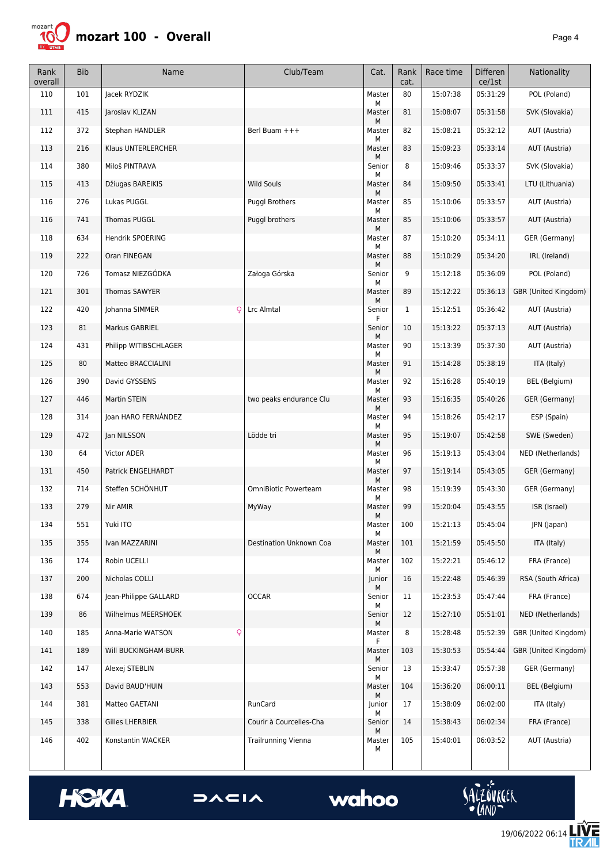

| Rank<br>overall | <b>Bib</b> | Name                   | Club/Team                   | Cat.             | Rank<br>cat. | Race time | Differen<br>ce/1st | Nationality          |
|-----------------|------------|------------------------|-----------------------------|------------------|--------------|-----------|--------------------|----------------------|
| 110             | 101        | Jacek RYDZIK           |                             | Master<br>М      | 80           | 15:07:38  | 05:31:29           | POL (Poland)         |
| 111             | 415        | Jaroslav KLIZAN        |                             | Master           | 81           | 15:08:07  | 05:31:58           | SVK (Slovakia)       |
| 112             | 372        | Stephan HANDLER        | Berl Buam +++               | М<br>Master<br>М | 82           | 15:08:21  | 05:32:12           | AUT (Austria)        |
| 113             | 216        | Klaus UNTERLERCHER     |                             | Master           | 83           | 15:09:23  | 05:33:14           | AUT (Austria)        |
| 114             | 380        | Miloš PINTRAVA         |                             | М<br>Senior      | 8            | 15:09:46  | 05:33:37           | SVK (Slovakia)       |
| 115             | 413        | Džiugas BAREIKIS       | <b>Wild Souls</b>           | М<br>Master<br>М | 84           | 15:09:50  | 05:33:41           | LTU (Lithuania)      |
| 116             | 276        | Lukas PUGGL            | <b>Puggl Brothers</b>       | Master<br>М      | 85           | 15:10:06  | 05:33:57           | AUT (Austria)        |
| 116             | 741        | <b>Thomas PUGGL</b>    | Puggl brothers              | Master<br>М      | 85           | 15:10:06  | 05:33:57           | AUT (Austria)        |
| 118             | 634        | Hendrik SPOERING       |                             | Master<br>М      | 87           | 15:10:20  | 05:34:11           | GER (Germany)        |
| 119             | 222        | Oran FINEGAN           |                             | Master<br>М      | 88           | 15:10:29  | 05:34:20           | IRL (Ireland)        |
| 120             | 726        | Tomasz NIEZGÓDKA       | Załoga Górska               | Senior<br>М      | 9            | 15:12:18  | 05:36:09           | POL (Poland)         |
| 121             | 301        | Thomas SAWYER          |                             | Master<br>М      | 89           | 15:12:22  | 05:36:13           | GBR (United Kingdom) |
| 122             | 420        | Johanna SIMMER<br>Q    | Lrc Almtal                  | Senior<br>F      | $\mathbf{1}$ | 15:12:51  | 05:36:42           | AUT (Austria)        |
| 123             | 81         | Markus GABRIEL         |                             | Senior<br>М      | 10           | 15:13:22  | 05:37:13           | AUT (Austria)        |
| 124             | 431        | Philipp WITIBSCHLAGER  |                             | Master           | 90           | 15:13:39  | 05:37:30           | AUT (Austria)        |
| 125             | 80         | Matteo BRACCIALINI     |                             | М<br>Master<br>М | 91           | 15:14:28  | 05:38:19           | ITA (Italy)          |
| 126             | 390        | David GYSSENS          |                             | Master           | 92           | 15:16:28  | 05:40:19           | BEL (Belgium)        |
| 127             | 446        | Martin STEIN           | two peaks endurance Clu     | М<br>Master      | 93           | 15:16:35  | 05:40:26           | GER (Germany)        |
| 128             | 314        | Joan HARO FERNÁNDEZ    |                             | М<br>Master<br>М | 94           | 15:18:26  | 05:42:17           | ESP (Spain)          |
| 129             | 472        | Jan NILSSON            | Lödde tri                   | Master<br>М      | 95           | 15:19:07  | 05:42:58           | SWE (Sweden)         |
| 130             | 64         | <b>Victor ADER</b>     |                             | Master<br>М      | 96           | 15:19:13  | 05:43:04           | NED (Netherlands)    |
| 131             | 450        | Patrick ENGELHARDT     |                             | Master<br>М      | 97           | 15:19:14  | 05:43:05           | GER (Germany)        |
| 132             | 714        | Steffen SCHÖNHUT       | <b>OmniBiotic Powerteam</b> | Master<br>М      | 98           | 15:19:39  | 05:43:30           | GER (Germany)        |
| 133             | 279        | Nir AMIR               | MyWay                       | Master<br>М      | 99           | 15:20:04  | 05:43:55           | ISR (Israel)         |
| 134             | 551        | Yuki ITO               |                             | Master<br>М      | 100          | 15:21:13  | 05:45:04           | JPN (Japan)          |
| 135             | 355        | Ivan MAZZARINI         | Destination Unknown Coa     | Master<br>М      | 101          | 15:21:59  | 05:45:50           | ITA (Italy)          |
| 136             | 174        | Robin UCELLI           |                             | Master<br>М      | 102          | 15:22:21  | 05:46:12           | FRA (France)         |
| 137             | 200        | Nicholas COLLI         |                             | Junior<br>Μ      | 16           | 15:22:48  | 05:46:39           | RSA (South Africa)   |
| 138             | 674        | Jean-Philippe GALLARD  | <b>OCCAR</b>                | Senior<br>м      | 11           | 15:23:53  | 05:47:44           | FRA (France)         |
| 139             | 86         | Wilhelmus MEERSHOEK    |                             | Senior<br>М      | 12           | 15:27:10  | 05:51:01           | NED (Netherlands)    |
| 140             | 185        | Anna-Marie WATSON<br>Q |                             | Master<br>F      | 8            | 15:28:48  | 05:52:39           | GBR (United Kingdom) |
| 141             | 189        | Will BUCKINGHAM-BURR   |                             | Master<br>Μ      | 103          | 15:30:53  | 05:54:44           | GBR (United Kingdom) |
| 142             | 147        | Alexej STEBLIN         |                             | Senior<br>М      | 13           | 15:33:47  | 05:57:38           | GER (Germany)        |
| 143             | 553        | David BAUD'HUIN        |                             | Master<br>М      | 104          | 15:36:20  | 06:00:11           | BEL (Belgium)        |
| 144             | 381        | Matteo GAETANI         | RunCard                     | Junior<br>М      | 17           | 15:38:09  | 06:02:00           | ITA (Italy)          |
| 145             | 338        | Gilles LHERBIER        | Courir à Courcelles-Cha     | Senior<br>М      | 14           | 15:38:43  | 06:02:34           | FRA (France)         |
| 146             | 402        | Konstantin WACKER      | <b>Trailrunning Vienna</b>  | Master<br>М      | 105          | 15:40:01  | 06:03:52           | AUT (Austria)        |





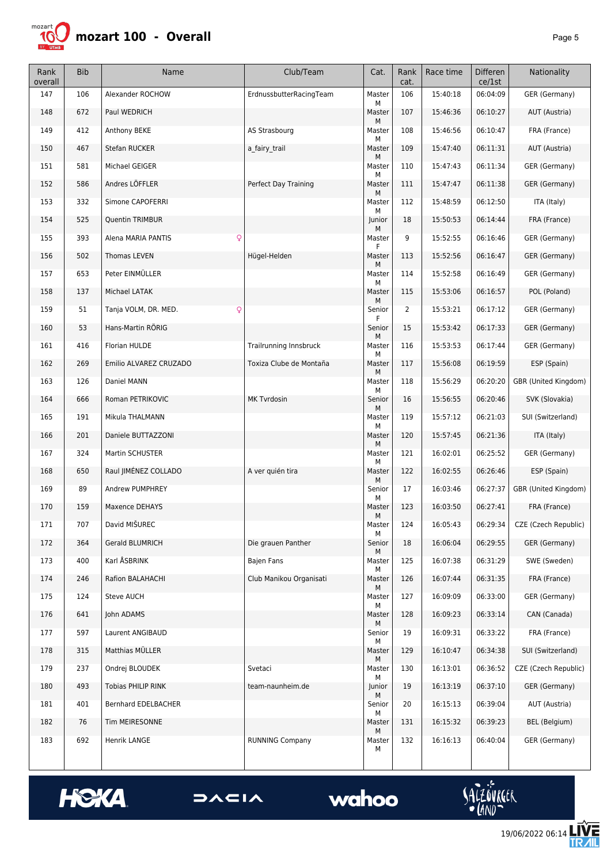

| Rank<br>overall | <b>Bib</b> | Name                               | Club/Team                     | Cat.        | Rank<br>cat.   | Race time | <b>Differen</b><br>ce/1st | Nationality          |
|-----------------|------------|------------------------------------|-------------------------------|-------------|----------------|-----------|---------------------------|----------------------|
| 147             | 106        | Alexander ROCHOW                   | ErdnussbutterRacingTeam       | Master<br>М | 106            | 15:40:18  | 06:04:09                  | GER (Germany)        |
| 148             | 672        | Paul WEDRICH                       |                               | Master<br>М | 107            | 15:46:36  | 06:10:27                  | AUT (Austria)        |
| 149             | 412        | Anthony BEKE                       | AS Strasbourg                 | Master<br>М | 108            | 15:46:56  | 06:10:47                  | FRA (France)         |
| 150             | 467        | Stefan RUCKER                      | a fairy trail                 | Master<br>М | 109            | 15:47:40  | 06:11:31                  | AUT (Austria)        |
| 151             | 581        | Michael GEIGER                     |                               | Master<br>М | 110            | 15:47:43  | 06:11:34                  | GER (Germany)        |
| 152             | 586        | Andres LÖFFLER                     | Perfect Day Training          | Master<br>М | 111            | 15:47:47  | 06:11:38                  | GER (Germany)        |
| 153             | 332        | Simone CAPOFERRI                   |                               | Master<br>М | 112            | 15:48:59  | 06:12:50                  | ITA (Italy)          |
| 154             | 525        | Quentin TRIMBUR                    |                               | Junior<br>М | 18             | 15:50:53  | 06:14:44                  | FRA (France)         |
| 155             | 393        | Alena MARIA PANTIS<br>$\mathsf{Q}$ |                               | Master<br>F | 9              | 15:52:55  | 06:16:46                  | GER (Germany)        |
| 156             | 502        | Thomas LEVEN                       | Hügel-Helden                  | Master<br>м | 113            | 15:52:56  | 06:16:47                  | GER (Germany)        |
| 157             | 653        | Peter EINMÜLLER                    |                               | Master<br>М | 114            | 15:52:58  | 06:16:49                  | GER (Germany)        |
| 158             | 137        | Michael LATAK                      |                               | Master<br>М | 115            | 15:53:06  | 06:16:57                  | POL (Poland)         |
| 159             | 51         | Tanja VOLM, DR. MED.<br>Q          |                               | Senior<br>F | $\overline{2}$ | 15:53:21  | 06:17:12                  | GER (Germany)        |
| 160             | 53         | Hans-Martin RÖRIG                  |                               | Senior<br>М | 15             | 15:53:42  | 06:17:33                  | GER (Germany)        |
| 161             | 416        | Florian HULDE                      | <b>Trailrunning Innsbruck</b> | Master<br>М | 116            | 15:53:53  | 06:17:44                  | GER (Germany)        |
| 162             | 269        | Emilio ALVAREZ CRUZADO             | Toxiza Clube de Montaña       | Master<br>М | 117            | 15:56:08  | 06:19:59                  | ESP (Spain)          |
| 163             | 126        | Daniel MANN                        |                               | Master<br>М | 118            | 15:56:29  | 06:20:20                  | GBR (United Kingdom) |
| 164             | 666        | Roman PETRIKOVIC                   | <b>MK Tyrdosin</b>            | Senior<br>М | 16             | 15:56:55  | 06:20:46                  | SVK (Slovakia)       |
| 165             | 191        | Mikula THALMANN                    |                               | Master<br>М | 119            | 15:57:12  | 06:21:03                  | SUI (Switzerland)    |
| 166             | 201        | Daniele BUTTAZZONI                 |                               | Master<br>М | 120            | 15:57:45  | 06:21:36                  | ITA (Italy)          |
| 167             | 324        | Martin SCHUSTER                    |                               | Master<br>М | 121            | 16:02:01  | 06:25:52                  | GER (Germany)        |
| 168             | 650        | Raul JIMÉNEZ COLLADO               | A ver quién tira              | Master<br>М | 122            | 16:02:55  | 06:26:46                  | ESP (Spain)          |
| 169             | 89         | Andrew PUMPHREY                    |                               | Senior<br>М | 17             | 16:03:46  | 06:27:37                  | GBR (United Kingdom) |
| 170             | 159        | <b>Maxence DEHAYS</b>              |                               | Master<br>М | 123            | 16:03:50  | 06:27:41                  | FRA (France)         |
| 171             | 707        | David MIŠUREC                      |                               | Master<br>М | 124            | 16:05:43  | 06:29:34                  | CZE (Czech Republic) |
| 172             | 364        | Gerald BLUMRICH                    | Die grauen Panther            | Senior<br>М | 18             | 16:06:04  | 06:29:55                  | GER (Germany)        |
| 173             | 400        | Karl ÅSBRINK                       | <b>Bajen Fans</b>             | Master<br>М | 125            | 16:07:38  | 06:31:29                  | SWE (Sweden)         |
| 174             | 246        | Rafion BALAHACHI                   | Club Manikou Organisati       | Master<br>М | 126            | 16:07:44  | 06:31:35                  | FRA (France)         |
| 175             | 124        | Steve AUCH                         |                               | Master<br>М | 127            | 16:09:09  | 06:33:00                  | GER (Germany)        |
| 176             | 641        | John ADAMS                         |                               | Master<br>М | 128            | 16:09:23  | 06:33:14                  | CAN (Canada)         |
| 177             | 597        | Laurent ANGIBAUD                   |                               | Senior<br>М | 19             | 16:09:31  | 06:33:22                  | FRA (France)         |
| 178             | 315        | Matthias MÜLLER                    |                               | Master<br>М | 129            | 16:10:47  | 06:34:38                  | SUI (Switzerland)    |
| 179             | 237        | Ondrej BLOUDEK                     | Svetaci                       | Master<br>М | 130            | 16:13:01  | 06:36:52                  | CZE (Czech Republic) |
| 180             | 493        | <b>Tobias PHILIP RINK</b>          | team-naunheim.de              | Junior<br>М | 19             | 16:13:19  | 06:37:10                  | GER (Germany)        |
| 181             | 401        | Bernhard EDELBACHER                |                               | Senior<br>М | 20             | 16:15:13  | 06:39:04                  | AUT (Austria)        |
| 182             | 76         | Tim MEIRESONNE                     |                               | Master<br>М | 131            | 16:15:32  | 06:39:23                  | BEL (Belgium)        |
| 183             | 692        | Henrik LANGE                       | <b>RUNNING Company</b>        | Master<br>М | 132            | 16:16:13  | 06:40:04                  | GER (Germany)        |





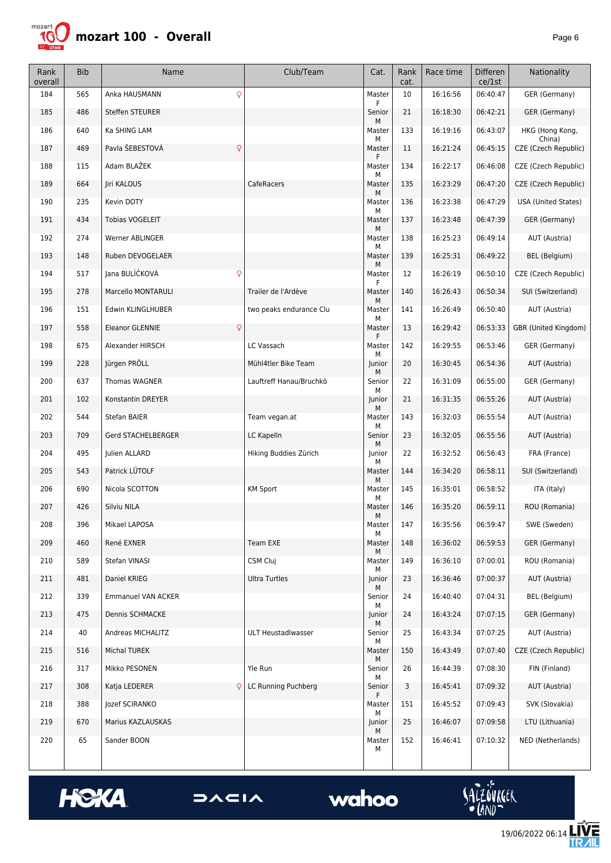

| Rank<br>overall | <b>Bib</b> | Name                            | Club/Team               | Cat.        | Rank<br>cat. | Race time | <b>Differen</b><br>ce/1st | Nationality                |
|-----------------|------------|---------------------------------|-------------------------|-------------|--------------|-----------|---------------------------|----------------------------|
| 184             | 565        | Q<br>Anka HAUSMANN              |                         | Master      | 10           | 16:16:56  | 06:40:47                  | GER (Germany)              |
| 185             | 486        | <b>Steffen STEURER</b>          |                         | Senior<br>М | 21           | 16:18:30  | 06:42:21                  | GER (Germany)              |
| 186             | 640        | Ka SHING LAM                    |                         | Master<br>М | 133          | 16:19:16  | 06:43:07                  | HKG (Hong Kong,<br>China)  |
| 187             | 469        | Pavla ŠEBESTOVÁ<br>$\mathsf{Q}$ |                         | Master      | 11           | 16:21:24  | 06:45:15                  | CZE (Czech Republic)       |
| 188             | 115        | Adam BLAŽEK                     |                         | Master<br>М | 134          | 16:22:17  | 06:46:08                  | CZE (Czech Republic)       |
| 189             | 664        | Jiri KALOUS                     | CafeRacers              | Master<br>М | 135          | 16:23:29  | 06:47:20                  | CZE (Czech Republic)       |
| 190             | 235        | Kevin DOTY                      |                         | Master<br>М | 136          | 16:23:38  | 06:47:29                  | <b>USA (United States)</b> |
| 191             | 434        | <b>Tobias VOGELEIT</b>          |                         | Master<br>М | 137          | 16:23:48  | 06:47:39                  | GER (Germany)              |
| 192             | 274        | Werner ABLINGER                 |                         | Master<br>М | 138          | 16:25:23  | 06:49:14                  | AUT (Austria)              |
| 193             | 148        | Ruben DEVOGELAER                |                         | Master<br>М | 139          | 16:25:31  | 06:49:22                  | BEL (Belgium)              |
| 194             | 517        | Jana BULÍČKOVÁ<br>Q             |                         | Master<br>F | 12           | 16:26:19  | 06:50:10                  | CZE (Czech Republic)       |
| 195             | 278        | Marcello MONTARULI              | Trailer de l'Ardève     | Master<br>М | 140          | 16:26:43  | 06:50:34                  | SUI (Switzerland)          |
| 196             | 151        | Edwin KLINGLHUBER               | two peaks endurance Clu | Master<br>М | 141          | 16:26:49  | 06:50:40                  | AUT (Austria)              |
| 197             | 558        | <b>Eleanor GLENNIE</b><br>Q     |                         | Master<br>F | 13           | 16:29:42  | 06:53:33                  | GBR (United Kingdom)       |
| 198             | 675        | Alexander HIRSCH                | LC Vassach              | Master<br>М | 142          | 16:29:55  | 06:53:46                  | GER (Germany)              |
| 199             | 228        | Jürgen PRÖLL                    | Mühl4tler Bike Team     | Junior<br>м | 20           | 16:30:45  | 06:54:36                  | AUT (Austria)              |
| 200             | 637        | Thomas WAGNER                   | Lauftreff Hanau/Bruchkö | Senior<br>м | 22           | 16:31:09  | 06:55:00                  | GER (Germany)              |
| 201             | 102        | Konstantin DREYER               |                         | Junior<br>М | 21           | 16:31:35  | 06:55:26                  | AUT (Austria)              |
| 202             | 544        | Stefan BAIER                    | Team vegan.at           | Master<br>М | 143          | 16:32:03  | 06:55:54                  | AUT (Austria)              |
| 203             | 709        | Gerd STACHELBERGER              | LC Kapelln              | Senior<br>М | 23           | 16:32:05  | 06:55:56                  | AUT (Austria)              |
| 204             | 495        | Julien ALLARD                   | Hiking Buddies Zürich   | Junior<br>М | 22           | 16:32:52  | 06:56:43                  | FRA (France)               |
| 205             | 543        | Patrick LÜTOLF                  |                         | Master<br>М | 144          | 16:34:20  | 06:58:11                  | SUI (Switzerland)          |
| 206             | 690        | Nicola SCOTTON                  | <b>KM Sport</b>         | Master<br>М | 145          | 16:35:01  | 06:58:52                  | ITA (Italy)                |
| 207             | 426        | Silviu NILA                     |                         | Master<br>М | 146          | 16:35:20  | 06:59:11                  | ROU (Romania)              |
| 208             | 396        | Mikael LAPOSA                   |                         | Master<br>м | 147          | 16:35:56  | 06:59:47                  | SWE (Sweden)               |
| 209             | 460        | René EXNER                      | <b>Team EXE</b>         | Master<br>М | 148          | 16:36:02  | 06:59:53                  | GER (Germany)              |
| 210             | 589        | Stefan VINASI                   | CSM Cluj                | Master<br>м | 149          | 16:36:10  | 07:00:01                  | ROU (Romania)              |
| 211             | 481        | Daniel KRIEG                    | <b>Ultra Turtles</b>    | Junior<br>Μ | 23           | 16:36:46  | 07:00:37                  | AUT (Austria)              |
| 212             | 339        | Emmanuel VAN ACKER              |                         | Senior<br>м | 24           | 16:40:40  | 07:04:31                  | BEL (Belgium)              |
| 213             | 475        | Dennis SCHMACKE                 |                         | Junior<br>М | 24           | 16:43:24  | 07:07:15                  | GER (Germany)              |
| 214             | 40         | Andreas MICHALITZ               | ULT Heustadlwasser      | Senior<br>м | 25           | 16:43:34  | 07:07:25                  | AUT (Austria)              |
| 215             | 516        | Michal TUREK                    |                         | Master<br>М | 150          | 16:43:49  | 07:07:40                  | CZE (Czech Republic)       |
| 216             | 317        | Mikko PESONEN                   | Yle Run                 | Senior<br>М | 26           | 16:44:39  | 07:08:30                  | FIN (Finland)              |
| 217             | 308        | Katja LEDERER                   | LC Running Puchberg     | Senior<br>F | 3            | 16:45:41  | 07:09:32                  | AUT (Austria)              |
| 218             | 388        | Jozef SCIRANKO                  |                         | Master<br>М | 151          | 16:45:52  | 07:09:43                  | SVK (Slovakia)             |
| 219             | 670        | Marius KAZLAUSKAS               |                         | Junior<br>М | 25           | 16:46:07  | 07:09:58                  | LTU (Lithuania)            |
| 220             | 65         | Sander BOON                     |                         | Master<br>м | 152          | 16:46:41  | 07:10:32                  | NED (Netherlands)          |





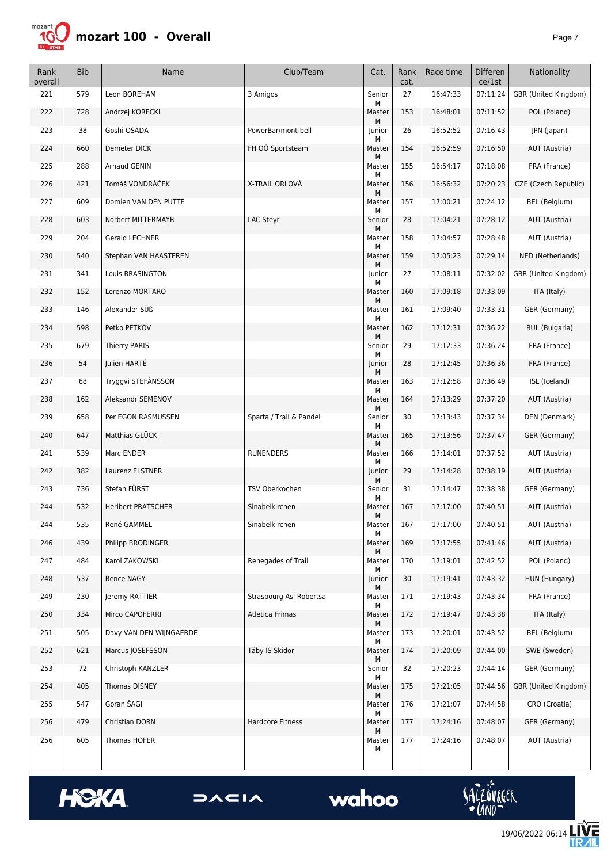

| Rank<br>overall | <b>Bib</b> | Name                      | Club/Team               | Cat.             | Rank<br>cat. | Race time | <b>Differen</b><br>ce/1st | Nationality                 |
|-----------------|------------|---------------------------|-------------------------|------------------|--------------|-----------|---------------------------|-----------------------------|
| 221             | 579        | Leon BOREHAM              | 3 Amigos                | Senior           | 27           | 16:47:33  | 07:11:24                  | GBR (United Kingdom)        |
| 222             | 728        | Andrzej KORECKI           |                         | М<br>Master      | 153          | 16:48:01  | 07:11:52                  | POL (Poland)                |
| 223             | 38         | Goshi OSADA               | PowerBar/mont-bell      | М<br>Junior<br>М | 26           | 16:52:52  | 07:16:43                  | JPN (Japan)                 |
| 224             | 660        | Demeter DICK              | FH OÖ Sportsteam        | Master<br>М      | 154          | 16:52:59  | 07:16:50                  | AUT (Austria)               |
| 225             | 288        | <b>Arnaud GENIN</b>       |                         | Master<br>М      | 155          | 16:54:17  | 07:18:08                  | FRA (France)                |
| 226             | 421        | Tomáš VONDRÁČEK           | X-TRAIL ORLOVÁ          | Master<br>М      | 156          | 16:56:32  | 07:20:23                  | CZE (Czech Republic)        |
| 227             | 609        | Domien VAN DEN PUTTE      |                         | Master<br>м      | 157          | 17:00:21  | 07:24:12                  | <b>BEL</b> (Belgium)        |
| 228             | 603        | Norbert MITTERMAYR        | LAC Steyr               | Senior<br>М      | 28           | 17:04:21  | 07:28:12                  | AUT (Austria)               |
| 229             | 204        | Gerald LECHNER            |                         | Master<br>М      | 158          | 17:04:57  | 07:28:48                  | AUT (Austria)               |
| 230             | 540        | Stephan VAN HAASTEREN     |                         | Master<br>М      | 159          | 17:05:23  | 07:29:14                  | NED (Netherlands)           |
| 231             | 341        | Louis BRASINGTON          |                         | Junior<br>М      | 27           | 17:08:11  | 07:32:02                  | <b>GBR (United Kingdom)</b> |
| 232             | 152        | Lorenzo MORTARO           |                         | Master<br>М      | 160          | 17:09:18  | 07:33:09                  | ITA (Italy)                 |
| 233             | 146        | Alexander SÜß             |                         | Master<br>М      | 161          | 17:09:40  | 07:33:31                  | GER (Germany)               |
| 234             | 598        | Petko PETKOV              |                         | Master<br>М      | 162          | 17:12:31  | 07:36:22                  | <b>BUL</b> (Bulgaria)       |
| 235             | 679        | <b>Thierry PARIS</b>      |                         | Senior<br>М      | 29           | 17:12:33  | 07:36:24                  | FRA (France)                |
| 236             | 54         | Julien HARTÉ              |                         | Junior<br>М      | 28           | 17:12:45  | 07:36:36                  | FRA (France)                |
| 237             | 68         | Tryggvi STEFÁNSSON        |                         | Master           | 163          | 17:12:58  | 07:36:49                  | ISL (Iceland)               |
| 238             | 162        | Aleksandr SEMENOV         |                         | М<br>Master      | 164          | 17:13:29  | 07:37:20                  | AUT (Austria)               |
| 239             | 658        | Per EGON RASMUSSEN        | Sparta / Trail & Pandel | М<br>Senior<br>м | 30           | 17:13:43  | 07:37:34                  | DEN (Denmark)               |
| 240             | 647        | Matthias GLÜCK            |                         | Master<br>М      | 165          | 17:13:56  | 07:37:47                  | GER (Germany)               |
| 241             | 539        | Marc ENDER                | <b>RUNENDERS</b>        | Master<br>М      | 166          | 17:14:01  | 07:37:52                  | AUT (Austria)               |
| 242             | 382        | Laurenz ELSTNER           |                         | Junior<br>м      | 29           | 17:14:28  | 07:38:19                  | AUT (Austria)               |
| 243             | 736        | Stefan FÜRST              | TSV Oberkochen          | Senior<br>М      | 31           | 17:14:47  | 07:38:38                  | GER (Germany)               |
| 244             | 532        | <b>Heribert PRATSCHER</b> | Sinabelkirchen          | Master           | 167          | 17:17:00  | 07:40:51                  | AUT (Austria)               |
| 244             | 535        | René GAMMEL               | Sinabelkirchen          | М<br>Master<br>М | 167          | 17:17:00  | 07:40:51                  | AUT (Austria)               |
| 246             | 439        | Philipp BRODINGER         |                         | Master<br>М      | 169          | 17:17:55  | 07:41:46                  | AUT (Austria)               |
| 247             | 484        | Karol ZAKOWSKI            | Renegades of Trail      | Master<br>М      | 170          | 17:19:01  | 07:42:52                  | POL (Poland)                |
| 248             | 537        | <b>Bence NAGY</b>         |                         | Junior<br>М      | 30           | 17:19:41  | 07:43:32                  | HUN (Hungary)               |
| 249             | 230        | Jeremy RATTIER            | Strasbourg Asl Robertsa | Master<br>М      | 171          | 17:19:43  | 07:43:34                  | FRA (France)                |
| 250             | 334        | Mirco CAPOFERRI           | Atletica Frimas         | Master<br>М      | 172          | 17:19:47  | 07:43:38                  | ITA (Italy)                 |
| 251             | 505        | Davy VAN DEN WIJNGAERDE   |                         | Master<br>М      | 173          | 17:20:01  | 07:43:52                  | BEL (Belgium)               |
| 252             | 621        | Marcus   OSEFSSON         | Täby IS Skidor          | Master<br>М      | 174          | 17:20:09  | 07:44:00                  | SWE (Sweden)                |
| 253             | 72         | Christoph KANZLER         |                         | Senior<br>М      | 32           | 17:20:23  | 07:44:14                  | GER (Germany)               |
| 254             | 405        | Thomas DISNEY             |                         | Master<br>М      | 175          | 17:21:05  | 07:44:56                  | GBR (United Kingdom)        |
| 255             | 547        | Goran ŠAGI                |                         | Master<br>м      | 176          | 17:21:07  | 07:44:58                  | CRO (Croatia)               |
| 256             | 479        | Christian DORN            | Hardcore Fitness        | Master<br>М      | 177          | 17:24:16  | 07:48:07                  | GER (Germany)               |
| 256             | 605        | Thomas HOFER              |                         | Master<br>м      | 177          | 17:24:16  | 07:48:07                  | AUT (Austria)               |





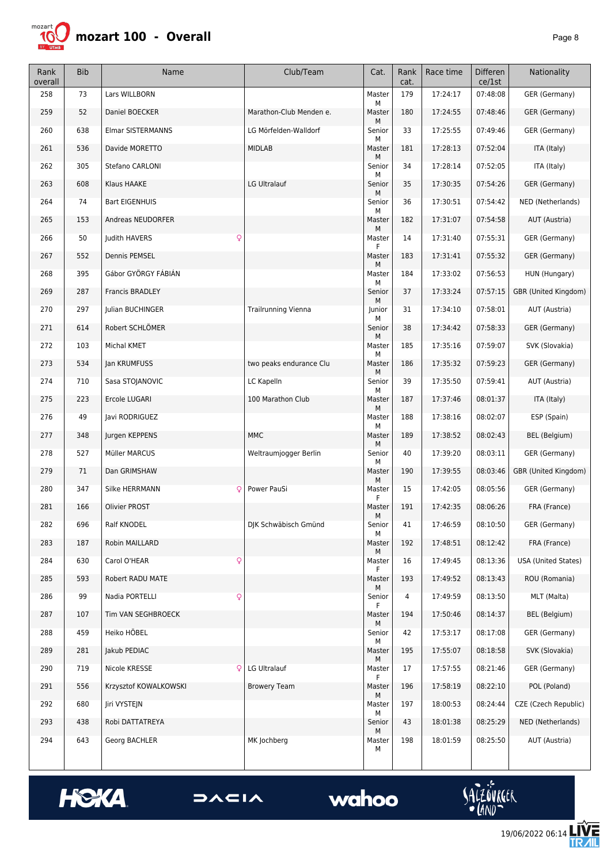

| Rank<br>overall | <b>Bib</b> | Name                   | Club/Team                  | Cat.         | Rank<br>cat. | Race time | <b>Differen</b><br>ce/1st | Nationality          |
|-----------------|------------|------------------------|----------------------------|--------------|--------------|-----------|---------------------------|----------------------|
| 258             | 73         | Lars WILLBORN          |                            | Master<br>М  | 179          | 17:24:17  | 07:48:08                  | GER (Germany)        |
| 259             | 52         | Daniel BOECKER         | Marathon-Club Menden e.    | Master<br>М  | 180          | 17:24:55  | 07:48:46                  | GER (Germany)        |
| 260             | 638        | Elmar SISTERMANNS      | LG Mörfelden-Walldorf      | Senior<br>М  | 33           | 17:25:55  | 07:49:46                  | GER (Germany)        |
| 261             | 536        | Davide MORETTO         | <b>MIDLAB</b>              | Master<br>м  | 181          | 17:28:13  | 07:52:04                  | ITA (Italy)          |
| 262             | 305        | Stefano CARLONI        |                            | Senior<br>М  | 34           | 17:28:14  | 07:52:05                  | ITA (Italy)          |
| 263             | 608        | Klaus HAAKE            | LG Ultralauf               | Senior<br>М  | 35           | 17:30:35  | 07:54:26                  | GER (Germany)        |
| 264             | 74         | <b>Bart EIGENHUIS</b>  |                            | Senior<br>М  | 36           | 17:30:51  | 07:54:42                  | NED (Netherlands)    |
| 265             | 153        | Andreas NEUDORFER      |                            | Master<br>М  | 182          | 17:31:07  | 07:54:58                  | AUT (Austria)        |
| 266             | 50         | Judith HAVERS<br>Q     |                            | Master<br>F  | 14           | 17:31:40  | 07:55:31                  | GER (Germany)        |
| 267             | 552        | Dennis PEMSEL          |                            | Master<br>М  | 183          | 17:31:41  | 07:55:32                  | GER (Germany)        |
| 268             | 395        | Gábor GYÖRGY FÁBIÁN    |                            | Master<br>М  | 184          | 17:33:02  | 07:56:53                  | HUN (Hungary)        |
| 269             | 287        | <b>Francis BRADLEY</b> |                            | Senior<br>М  | 37           | 17:33:24  | 07:57:15                  | GBR (United Kingdom) |
| 270             | 297        | Julian BUCHINGER       | <b>Trailrunning Vienna</b> | Junior<br>М  | 31           | 17:34:10  | 07:58:01                  | AUT (Austria)        |
| 271             | 614        | Robert SCHLÖMER        |                            | Senior<br>М  | 38           | 17:34:42  | 07:58:33                  | GER (Germany)        |
| 272             | 103        | Michal KMET            |                            | Master<br>М  | 185          | 17:35:16  | 07:59:07                  | SVK (Slovakia)       |
| 273             | 534        | Jan KRUMFUSS           | two peaks endurance Clu    | Master<br>м  | 186          | 17:35:32  | 07:59:23                  | GER (Germany)        |
| 274             | 710        | Sasa STOJANOVIC        | LC Kapelln                 | Senior<br>М  | 39           | 17:35:50  | 07:59:41                  | AUT (Austria)        |
| 275             | 223        | Ercole LUGARI          | 100 Marathon Club          | Master<br>М  | 187          | 17:37:46  | 08:01:37                  | ITA (Italy)          |
| 276             | 49         | Javi RODRIGUEZ         |                            | Master<br>М  | 188          | 17:38:16  | 08:02:07                  | ESP (Spain)          |
| 277             | 348        | Jurgen KEPPENS         | <b>MMC</b>                 | Master<br>М  | 189          | 17:38:52  | 08:02:43                  | BEL (Belgium)        |
| 278             | 527        | Müller MARCUS          | Weltraumjogger Berlin      | Senior<br>М  | 40           | 17:39:20  | 08:03:11                  | GER (Germany)        |
| 279             | 71         | Dan GRIMSHAW           |                            | Master<br>М  | 190          | 17:39:55  | 08:03:46                  | GBR (United Kingdom) |
| 280             | 347        | Silke HERRMANN<br>Ç    | Power PauSi                | Master<br>F  | 15           | 17:42:05  | 08:05:56                  | GER (Germany)        |
| 281             | 166        | Olivier PROST          |                            | Master<br>М  | 191          | 17:42:35  | 08:06:26                  | FRA (France)         |
| 282             | 696        | Ralf KNODEL            | DJK Schwäbisch Gmünd       | Senior<br>М  | 41           | 17:46:59  | 08:10:50                  | GER (Germany)        |
| 283             | 187        | Robin MAILLARD         |                            | Master<br>м  | 192          | 17:48:51  | 08:12:42                  | FRA (France)         |
| 284             | 630        | Carol O'HEAR<br>Q      |                            | Master<br>F. | 16           | 17:49:45  | 08:13:36                  | USA (United States)  |
| 285             | 593        | Robert RADU MATE       |                            | Master<br>М  | 193          | 17:49:52  | 08:13:43                  | ROU (Romania)        |
| 286             | 99         | Nadia PORTELLI<br>Q    |                            | Senior<br>F. | 4            | 17:49:59  | 08:13:50                  | MLT (Malta)          |
| 287             | 107        | Tim VAN SEGHBROECK     |                            | Master<br>М  | 194          | 17:50:46  | 08:14:37                  | BEL (Belgium)        |
| 288             | 459        | Heiko HÖBEL            |                            | Senior<br>М  | 42           | 17:53:17  | 08:17:08                  | GER (Germany)        |
| 289             | 281        | Jakub PEDIAC           |                            | Master<br>М  | 195          | 17:55:07  | 08:18:58                  | SVK (Slovakia)       |
| 290             | 719        | Nicole KRESSE<br>ç     | LG Ultralauf               | Master<br>F. | 17           | 17:57:55  | 08:21:46                  | GER (Germany)        |
| 291             | 556        | Krzysztof KOWALKOWSKI  | <b>Browery Team</b>        | Master<br>М  | 196          | 17:58:19  | 08:22:10                  | POL (Poland)         |
| 292             | 680        | Jiri VYSTEJN           |                            | Master<br>м  | 197          | 18:00:53  | 08:24:44                  | CZE (Czech Republic) |
| 293             | 438        | Robi DATTATREYA        |                            | Senior<br>М  | 43           | 18:01:38  | 08:25:29                  | NED (Netherlands)    |
| 294             | 643        | Georg BACHLER          | MK Jochberg                | Master<br>М  | 198          | 18:01:59  | 08:25:50                  | AUT (Austria)        |





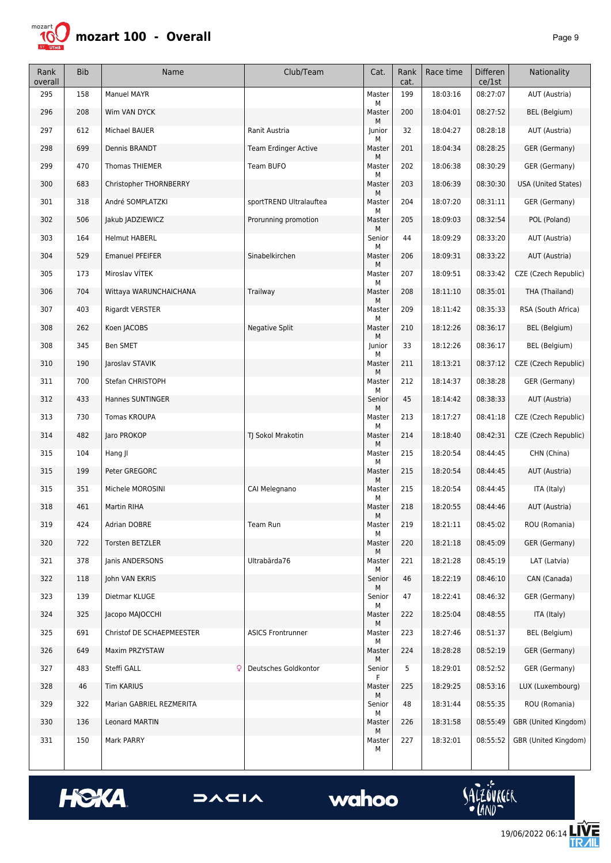

| Rank<br>overall | <b>Bib</b> | Name                      | Club/Team                   | Cat.             | Rank<br>cat. | Race time | <b>Differen</b><br>ce/1st | Nationality                |
|-----------------|------------|---------------------------|-----------------------------|------------------|--------------|-----------|---------------------------|----------------------------|
| 295             | 158        | Manuel MAYR               |                             | Master<br>М      | 199          | 18:03:16  | 08:27:07                  | AUT (Austria)              |
| 296             | 208        | Wim VAN DYCK              |                             | Master           | 200          | 18:04:01  | 08:27:52                  | <b>BEL</b> (Belgium)       |
| 297             | 612        | Michael BAUER             | Ranit Austria               | М<br>Junior<br>М | 32           | 18:04:27  | 08:28:18                  | AUT (Austria)              |
| 298             | 699        | Dennis BRANDT             | <b>Team Erdinger Active</b> | Master           | 201          | 18:04:34  | 08:28:25                  | GER (Germany)              |
| 299             | 470        | Thomas THIEMER            | Team BUFO                   | М<br>Master      | 202          | 18:06:38  | 08:30:29                  | GER (Germany)              |
| 300             | 683        | Christopher THORNBERRY    |                             | М<br>Master      | 203          | 18:06:39  | 08:30:30                  | <b>USA (United States)</b> |
| 301             | 318        | André SOMPLATZKI          | sportTREND Ultralauftea     | М<br>Master      | 204          | 18:07:20  | 08:31:11                  | GER (Germany)              |
| 302             | 506        | Jakub JADZIEWICZ          | Prorunning promotion        | М<br>Master      | 205          | 18:09:03  | 08:32:54                  | POL (Poland)               |
| 303             | 164        | <b>Helmut HABERL</b>      |                             | М<br>Senior<br>М | 44           | 18:09:29  | 08:33:20                  | AUT (Austria)              |
| 304             | 529        | <b>Emanuel PFEIFER</b>    | Sinabelkirchen              | Master           | 206          | 18:09:31  | 08:33:22                  | AUT (Austria)              |
| 305             | 173        | Miroslav VÍTEK            |                             | М<br>Master<br>М | 207          | 18:09:51  | 08:33:42                  | CZE (Czech Republic)       |
| 306             | 704        | Wittaya WARUNCHAICHANA    | Trailway                    | Master<br>М      | 208          | 18:11:10  | 08:35:01                  | THA (Thailand)             |
| 307             | 403        | Rigardt VERSTER           |                             | Master<br>М      | 209          | 18:11:42  | 08:35:33                  | RSA (South Africa)         |
| 308             | 262        | Koen JACOBS               | <b>Negative Split</b>       | Master<br>М      | 210          | 18:12:26  | 08:36:17                  | BEL (Belgium)              |
| 308             | 345        | Ben SMET                  |                             | Junior           | 33           | 18:12:26  | 08:36:17                  | <b>BEL</b> (Belgium)       |
| 310             | 190        | Jaroslav STAVIK           |                             | М<br>Master      | 211          | 18:13:21  | 08:37:12                  | CZE (Czech Republic)       |
| 311             | 700        | Stefan CHRISTOPH          |                             | М<br>Master      | 212          | 18:14:37  | 08:38:28                  | GER (Germany)              |
| 312             | 433        | Hannes SUNTINGER          |                             | М<br>Senior      | 45           | 18:14:42  | 08:38:33                  | AUT (Austria)              |
| 313             | 730        | <b>Tomas KROUPA</b>       |                             | М<br>Master      | 213          | 18:17:27  | 08:41:18                  | CZE (Czech Republic)       |
| 314             | 482        | Jaro PROKOP               | TJ Sokol Mrakotin           | М<br>Master      | 214          | 18:18:40  | 08:42:31                  | CZE (Czech Republic)       |
| 315             | 104        | Hang JI                   |                             | М<br>Master<br>М | 215          | 18:20:54  | 08:44:45                  | CHN (China)                |
| 315             | 199        | Peter GREGORC             |                             | Master<br>М      | 215          | 18:20:54  | 08:44:45                  | AUT (Austria)              |
| 315             | 351        | Michele MOROSINI          | CAI Melegnano               | Master           | 215          | 18:20:54  | 08:44:45                  | ITA (Italy)                |
| 318             | 461        | <b>Martin RIHA</b>        |                             | М<br>Master      | 218          | 18:20:55  | 08:44:46                  | AUT (Austria)              |
| 319             | 424        | Adrian DOBRE              | Team Run                    | М<br>Master<br>М | 219          | 18:21:11  | 08:45:02                  | ROU (Romania)              |
| 320             | 722        | <b>Torsten BETZLER</b>    |                             | Master           | 220          | 18:21:18  | 08:45:09                  | GER (Germany)              |
| 321             | 378        | Janis ANDERSONS           | Ultrabārda76                | М<br>Master<br>М | 221          | 18:21:28  | 08:45:19                  | LAT (Latvia)               |
| 322             | 118        | John VAN EKRIS            |                             | Senior           | 46           | 18:22:19  | 08:46:10                  | CAN (Canada)               |
| 323             | 139        | Dietmar KLUGE             |                             | М<br>Senior      | 47           | 18:22:41  | 08:46:32                  | GER (Germany)              |
| 324             | 325        | Јасоро МАЈОССНІ           |                             | м<br>Master      | 222          | 18:25:04  | 08:48:55                  | ITA (Italy)                |
| 325             | 691        | Christof DE SCHAEPMEESTER | <b>ASICS Frontrunner</b>    | М<br>Master<br>М | 223          | 18:27:46  | 08:51:37                  | BEL (Belgium)              |
| 326             | 649        | Maxim PRZYSTAW            |                             | Master<br>М      | 224          | 18:28:28  | 08:52:19                  | GER (Germany)              |
| 327             | 483        | Steffi GALL<br>Q          | Deutsches Goldkontor        | Senior<br>F      | 5            | 18:29:01  | 08:52:52                  | GER (Germany)              |
| 328             | 46         | <b>Tim KARIUS</b>         |                             | Master<br>М      | 225          | 18:29:25  | 08:53:16                  | LUX (Luxembourg)           |
| 329             | 322        | Marian GABRIEL REZMERITA  |                             | Senior<br>М      | 48           | 18:31:44  | 08:55:35                  | ROU (Romania)              |
| 330             | 136        | Leonard MARTIN            |                             | Master<br>М      | 226          | 18:31:58  | 08:55:49                  | GBR (United Kingdom)       |
| 331             | 150        | Mark PARRY                |                             | Master<br>М      | 227          | 18:32:01  | 08:55:52                  | GBR (United Kingdom)       |



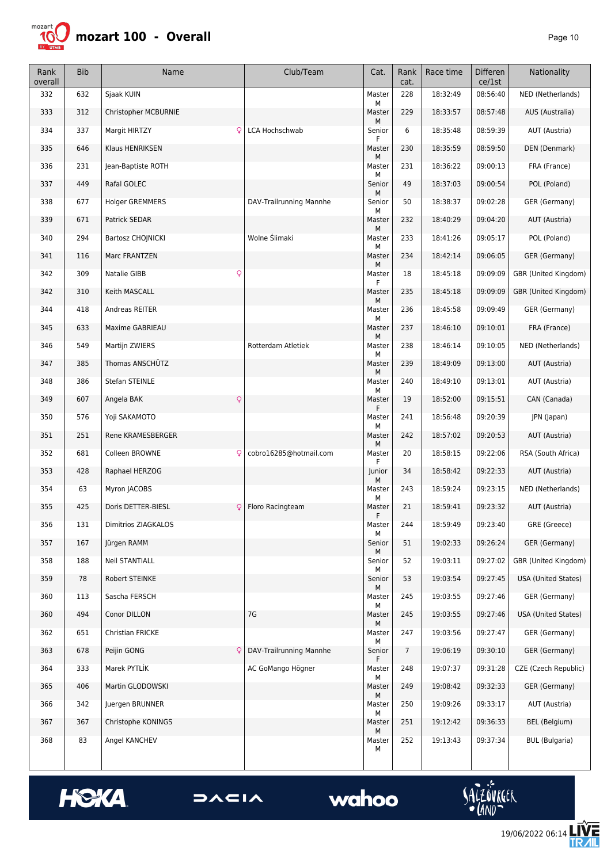

| Rank<br>overall | <b>Bib</b> | Name                    | Club/Team               | Cat.              | Rank<br>cat.   | Race time | <b>Differen</b><br>ce/1st | Nationality           |
|-----------------|------------|-------------------------|-------------------------|-------------------|----------------|-----------|---------------------------|-----------------------|
| 332             | 632        | Sjaak KUIN              |                         | Master<br>М       | 228            | 18:32:49  | 08:56:40                  | NED (Netherlands)     |
| 333             | 312        | Christopher MCBURNIE    |                         | Master            | 229            | 18:33:57  | 08:57:48                  | AUS (Australia)       |
| 334             | 337        | Margit HIRTZY<br>Q      | LCA Hochschwab          | м<br>Senior<br>F. | 6              | 18:35:48  | 08:59:39                  | AUT (Austria)         |
| 335             | 646        | Klaus HENRIKSEN         |                         | Master            | 230            | 18:35:59  | 08:59:50                  | DEN (Denmark)         |
| 336             | 231        | Jean-Baptiste ROTH      |                         | м<br>Master       | 231            | 18:36:22  | 09:00:13                  | FRA (France)          |
| 337             | 449        | Rafal GOLEC             |                         | М<br>Senior       | 49             | 18:37:03  | 09:00:54                  | POL (Poland)          |
| 338             | 677        | <b>Holger GREMMERS</b>  | DAV-Trailrunning Mannhe | М<br>Senior       | 50             | 18:38:37  | 09:02:28                  | GER (Germany)         |
| 339             | 671        | Patrick SEDAR           |                         | м<br>Master       | 232            | 18:40:29  | 09:04:20                  | AUT (Austria)         |
| 340             | 294        | Bartosz CHOJNICKI       | Wolne Ślimaki           | М<br>Master       | 233            | 18:41:26  | 09:05:17                  | POL (Poland)          |
| 341             | 116        | Marc FRANTZEN           |                         | М<br>Master       | 234            | 18:42:14  | 09:06:05                  | GER (Germany)         |
| 342             | 309        | Q<br>Natalie GIBB       |                         | М<br>Master       | 18             | 18:45:18  | 09:09:09                  | GBR (United Kingdom)  |
| 342             | 310        | Keith MASCALL           |                         | F<br>Master       | 235            | 18:45:18  | 09:09:09                  | GBR (United Kingdom)  |
| 344             | 418        | Andreas REITER          |                         | М<br>Master       | 236            | 18:45:58  | 09:09:49                  | GER (Germany)         |
| 345             | 633        | Maxime GABRIEAU         |                         | м<br>Master       | 237            | 18:46:10  | 09:10:01                  | FRA (France)          |
| 346             | 549        | Martijn ZWIERS          | Rotterdam Atletiek      | М<br>Master       | 238            | 18:46:14  | 09:10:05                  | NED (Netherlands)     |
| 347             | 385        | Thomas ANSCHÜTZ         |                         | М<br>Master       | 239            | 18:49:09  | 09:13:00                  | AUT (Austria)         |
| 348             | 386        | Stefan STEINLE          |                         | М<br>Master       | 240            | 18:49:10  | 09:13:01                  | AUT (Austria)         |
| 349             | 607        | Angela BAK<br>ç         |                         | М<br>Master       | 19             | 18:52:00  | 09:15:51                  | CAN (Canada)          |
| 350             | 576        | Yoji SAKAMOTO           |                         | F<br>Master       | 241            | 18:56:48  | 09:20:39                  | JPN (Japan)           |
| 351             | 251        | Rene KRAMESBERGER       |                         | м<br>Master       | 242            | 18:57:02  | 09:20:53                  | AUT (Austria)         |
| 352             | 681        | Colleen BROWNE<br>ç     | cobro16285@hotmail.com  | М<br>Master       | 20             | 18:58:15  | 09:22:06                  | RSA (South Africa)    |
| 353             | 428        | Raphael HERZOG          |                         | F.<br>Junior      | 34             | 18:58:42  | 09:22:33                  | AUT (Austria)         |
| 354             | 63         | Myron JACOBS            |                         | М<br>Master       | 243            | 18:59:24  | 09:23:15                  | NED (Netherlands)     |
| 355             | 425        | Doris DETTER-BIESL<br>Q | Floro Racingteam        | М<br>Master       | 21             | 18:59:41  | 09:23:32                  | AUT (Austria)         |
| 356             | 131        | Dimitrios ZIAGKALOS     |                         | F<br>Master       | 244            | 18:59:49  | 09:23:40                  | GRE (Greece)          |
| 357             | 167        | Jürgen RAMM             |                         | м<br>Senior       | 51             | 19:02:33  | 09:26:24                  | GER (Germany)         |
| 358             | 188        | <b>Neil STANTIALL</b>   |                         | М<br>Senior       | 52             | 19:03:11  | 09:27:02                  | GBR (United Kingdom)  |
| 359             | 78         | Robert STEINKE          |                         | М<br>Senior       | 53             | 19:03:54  | 09:27:45                  | USA (United States)   |
| 360             | 113        | Sascha FERSCH           |                         | М<br>Master       | 245            | 19:03:55  | 09:27:46                  | GER (Germany)         |
| 360             | 494        | Conor DILLON            | 7G                      | М<br>Master       | 245            | 19:03:55  | 09:27:46                  | USA (United States)   |
| 362             | 651        | Christian FRICKE        |                         | М<br>Master       | 247            | 19:03:56  | 09:27:47                  | GER (Germany)         |
| 363             | 678        | Peijin GONG<br>Q        | DAV-Trailrunning Mannhe | м<br>Senior       | $\overline{7}$ | 19:06:19  | 09:30:10                  | GER (Germany)         |
| 364             | 333        | Marek PYTLÍK            | AC GoMango Högner       | F.<br>Master      | 248            | 19:07:37  | 09:31:28                  | CZE (Czech Republic)  |
| 365             | 406        | Martin GLODOWSKI        |                         | М<br>Master       | 249            | 19:08:42  | 09:32:33                  | GER (Germany)         |
| 366             | 342        | Juergen BRUNNER         |                         | М<br>Master       | 250            | 19:09:26  | 09:33:17                  | AUT (Austria)         |
| 367             | 367        | Christophe KONINGS      |                         | м<br>Master       | 251            | 19:12:42  | 09:36:33                  | BEL (Belgium)         |
| 368             | 83         | Angel KANCHEV           |                         | М<br>Master<br>М  | 252            | 19:13:43  | 09:37:34                  | <b>BUL</b> (Bulgaria) |





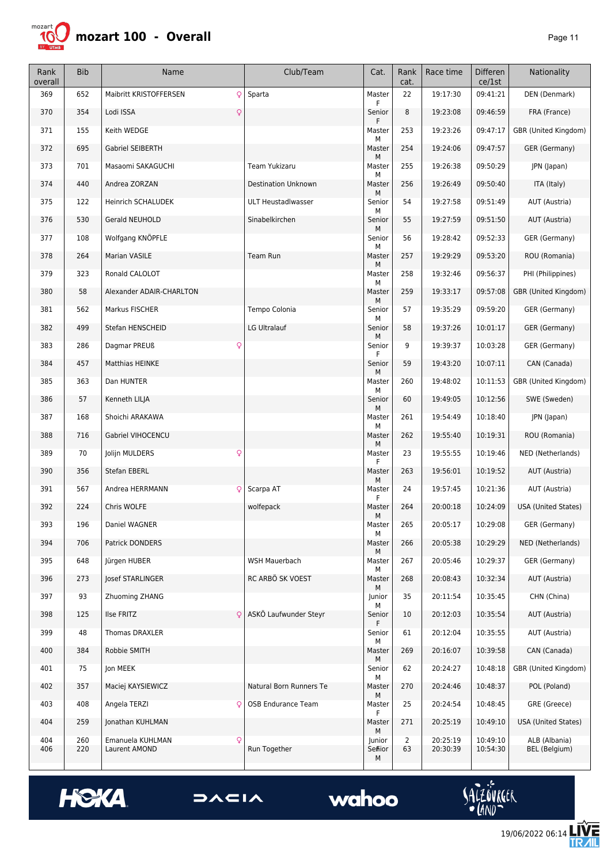

| Rank<br>overall | <b>Bib</b> | Name                           | Club/Team                  | Cat.             | Rank<br>cat.         | Race time | Differen<br>ce/1st | Nationality                |
|-----------------|------------|--------------------------------|----------------------------|------------------|----------------------|-----------|--------------------|----------------------------|
| 369             | 652        | Maibritt KRISTOFFERSEN<br>Q    | Sparta                     | Master           | 22                   | 19:17:30  | 09:41:21           | DEN (Denmark)              |
| 370             | 354        | Lodi ISSA<br>Q                 |                            | Senior<br>F      | 8                    | 19:23:08  | 09:46:59           | FRA (France)               |
| 371             | 155        | Keith WEDGE                    |                            | Master           | 253                  | 19:23:26  | 09:47:17           | GBR (United Kingdom)       |
| 372             | 695        | Gabriel SEIBERTH               |                            | М<br>Master      | 254                  | 19:24:06  | 09:47:57           | GER (Germany)              |
| 373             | 701        | Masaomi SAKAGUCHI              | Team Yukizaru              | М<br>Master      | 255                  | 19:26:38  | 09:50:29           | JPN (Japan)                |
| 374             | 440        | Andrea ZORZAN                  | <b>Destination Unknown</b> | М<br>Master      | 256                  | 19:26:49  | 09:50:40           | ITA (Italy)                |
| 375             | 122        | Heinrich SCHALUDEK             | <b>ULT Heustadlwasser</b>  | М<br>Senior      | 54                   | 19:27:58  | 09:51:49           | AUT (Austria)              |
| 376             | 530        | Gerald NEUHOLD                 | Sinabelkirchen             | М<br>Senior      | 55                   | 19:27:59  | 09:51:50           | AUT (Austria)              |
| 377             | 108        | Wolfgang KNÖPFLE               |                            | м<br>Senior      | 56                   | 19:28:42  | 09:52:33           | GER (Germany)              |
| 378             | 264        | Marian VASILE                  | Team Run                   | М<br>Master      | 257                  | 19:29:29  | 09:53:20           | ROU (Romania)              |
| 379             | 323        | Ronald CALOLOT                 |                            | М<br>Master      | 258                  | 19:32:46  | 09:56:37           | PHI (Philippines)          |
| 380             | 58         | Alexander ADAIR-CHARLTON       |                            | М<br>Master      | 259                  | 19:33:17  | 09:57:08           | GBR (United Kingdom)       |
| 381             | 562        | Markus FISCHER                 | Tempo Colonia              | М<br>Senior      | 57                   | 19:35:29  | 09:59:20           | GER (Germany)              |
| 382             | 499        | Stefan HENSCHEID               | LG Ultralauf               | М<br>Senior      | 58                   | 19:37:26  | 10:01:17           | GER (Germany)              |
| 383             | 286        | Dagmar PREUß<br>Q              |                            | М<br>Senior      | 9                    | 19:39:37  | 10:03:28           | GER (Germany)              |
| 384             | 457        | <b>Matthias HEINKE</b>         |                            | F<br>Senior      | 59                   | 19:43:20  | 10:07:11           | CAN (Canada)               |
| 385             | 363        | Dan HUNTER                     |                            | М<br>Master      | 260                  | 19:48:02  | 10:11:53           | GBR (United Kingdom)       |
| 386             | 57         | Kenneth LILJA                  |                            | М<br>Senior      | 60                   | 19:49:05  | 10:12:56           | SWE (Sweden)               |
| 387             | 168        | Shoichi ARAKAWA                |                            | М<br>Master      | 261                  | 19:54:49  | 10:18:40           | JPN (Japan)                |
| 388             | 716        | Gabriel VIHOCENCU              |                            | М<br>Master      | 262                  | 19:55:40  | 10:19:31           | ROU (Romania)              |
| 389             | 70         | $\mathsf{Q}$<br>Jolijn MULDERS |                            | М<br>Master<br>F | 23                   | 19:55:55  | 10:19:46           | NED (Netherlands)          |
| 390             | 356        | <b>Stefan EBERL</b>            |                            | Master           | 263                  | 19:56:01  | 10:19:52           | AUT (Austria)              |
| 391             | 567        | Andrea HERRMANN<br>ç           | Scarpa AT                  | М<br>Master<br>F | 24                   | 19:57:45  | 10:21:36           | AUT (Austria)              |
| 392             | 224        | Chris WOLFE                    | wolfepack                  | Master           | 264                  | 20:00:18  | 10:24:09           | <b>USA (United States)</b> |
| 393             | 196        | Daniel WAGNER                  |                            | М<br>Master<br>М | 265                  | 20:05:17  | 10:29:08           | GER (Germany)              |
| 394             | 706        | Patrick DONDERS                |                            | Master           | 266                  | 20:05:38  | 10:29:29           | NED (Netherlands)          |
| 395             | 648        | Jürgen HUBER                   | WSH Mauerbach              | М<br>Master      | 267                  | 20:05:46  | 10:29:37           | GER (Germany)              |
| 396             | 273        | Josef STARLINGER               | RC ARBÖ SK VOEST           | М<br>Master      | 268                  | 20:08:43  | 10:32:34           | AUT (Austria)              |
| 397             | 93         | Zhuoming ZHANG                 |                            | М<br>Junior      | 35                   | 20:11:54  | 10:35:45           | CHN (China)                |
| 398             | 125        | Ilse FRITZ                     | ASKÖ Laufwunder Steyr      | М<br>Senior      | 10                   | 20:12:03  | 10:35:54           | AUT (Austria)              |
| 399             | 48         | Thomas DRAXLER                 |                            | Senior           | 61                   | 20:12:04  | 10:35:55           | AUT (Austria)              |
| 400             | 384        | Robbie SMITH                   |                            | м<br>Master      | 269                  | 20:16:07  | 10:39:58           | CAN (Canada)               |
| 401             | 75         | Jon MEEK                       |                            | Μ<br>Senior      | 62                   | 20:24:27  | 10:48:18           | GBR (United Kingdom)       |
| 402             | 357        | Maciej KAYSIEWICZ              | Natural Born Runners Te    | м<br>Master      | 270                  | 20:24:46  | 10:48:37           | POL (Poland)               |
| 403             | 408        | Angela TERZI<br>Ç              | <b>OSB Endurance Team</b>  | М<br>Master<br>F | 25                   | 20:24:54  | 10:48:45           | GRE (Greece)               |
| 404             | 259        | Jonathan KUHLMAN               |                            | Master<br>М      | 271                  | 20:25:19  | 10:49:10           | <b>USA (United States)</b> |
| 404<br>406      | 260<br>220 | Emanuela KUHLMAN<br>Q          | Run Together               | Junior           | $\overline{2}$<br>63 | 20:25:19  | 10:49:10           | ALB (Albania)              |
|                 |            | Laurent AMOND                  |                            | Sefiior<br>М     |                      | 20:30:39  | 10:54:30           | BEL (Belgium)              |





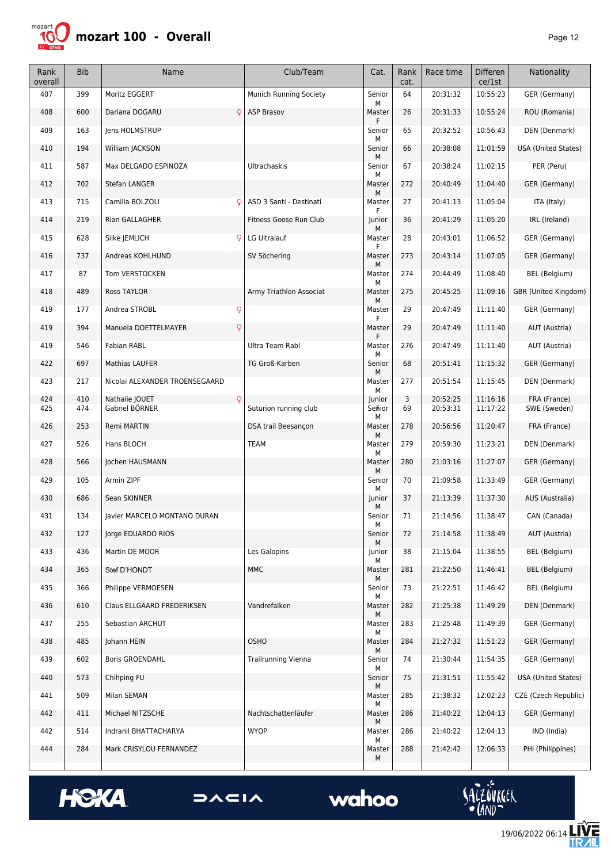

| Rank<br>overall | <b>Bib</b> | Name                                  | Club/Team                  | Cat.              | Rank<br>cat. | Race time            | <b>Differen</b><br>ce/1st | Nationality                  |
|-----------------|------------|---------------------------------------|----------------------------|-------------------|--------------|----------------------|---------------------------|------------------------------|
| 407             | 399        | Moritz EGGERT                         | Munich Running Society     | Senior<br>М       | 64           | 20:31:32             | 10:55:23                  | GER (Germany)                |
| 408             | 600        | Dariana DOGARU<br>Q                   | <b>ASP Brasov</b>          | Master<br>F       | 26           | 20:31:33             | 10:55:24                  | ROU (Romania)                |
| 409             | 163        | Jens HOLMSTRUP                        |                            | Senior            | 65           | 20:32:52             | 10:56:43                  | DEN (Denmark)                |
| 410             | 194        | William JACKSON                       |                            | М<br>Senior       | 66           | 20:38:08             | 11:01:59                  | <b>USA (United States)</b>   |
| 411             | 587        | Max DELGADO ESPINOZA                  | <b>Ultrachaskis</b>        | м<br>Senior       | 67           | 20:38:24             | 11:02:15                  | PER (Peru)                   |
| 412             | 702        | <b>Stefan LANGER</b>                  |                            | м<br>Master       | 272          | 20:40:49             | 11:04:40                  | GER (Germany)                |
| 413             | 715        | Camilla BOLZOLI<br>Q                  | ASD 3 Santi - Destinati    | м<br>Master<br>F  | 27           | 20:41:13             | 11:05:04                  | ITA (Italy)                  |
| 414             | 219        | Rian GALLAGHER                        | Fitness Goose Run Club     | Junior            | 36           | 20:41:29             | 11:05:20                  | IRL (Ireland)                |
| 415             | 628        | Silke JEMLICH<br>Q                    | LG Ultralauf               | м<br>Master<br>F  | 28           | 20:43:01             | 11:06:52                  | GER (Germany)                |
| 416             | 737        | Andreas KOHLHUND                      | SV Söchering               | Master            | 273          | 20:43:14             | 11:07:05                  | GER (Germany)                |
| 417             | 87         | Tom VERSTOCKEN                        |                            | М<br>Master       | 274          | 20:44:49             | 11:08:40                  | BEL (Belgium)                |
| 418             | 489        | <b>Ross TAYLOR</b>                    | Army Triathlon Associat    | М<br>Master<br>М  | 275          | 20:45:25             | 11:09:16                  | GBR (United Kingdom)         |
| 419             | 177        | Andrea STROBL<br>Q                    |                            | Master<br>F       | 29           | 20:47:49             | 11:11:40                  | GER (Germany)                |
| 419             | 394        | $\mathsf{Q}$<br>Manuela DOETTELMAYER  |                            | Master<br>F       | 29           | 20:47:49             | 11:11:40                  | AUT (Austria)                |
| 419             | 546        | <b>Fabian RABL</b>                    | Ultra Team Rabl            | Master<br>М       | 276          | 20:47:49             | 11:11:40                  | AUT (Austria)                |
| 422             | 697        | <b>Mathias LAUFER</b>                 | TG Groß-Karben             | Senior<br>м       | 68           | 20:51:41             | 11:15:32                  | GER (Germany)                |
| 423             | 217        | Nicolai ALEXANDER TROENSEGAARD        |                            | Master<br>м       | 277          | 20:51:54             | 11:15:45                  | DEN (Denmark)                |
| 424<br>425      | 410<br>474 | Nathalie JOUET<br>Q<br>Gabriel BÖRNER | Suturion running club      | Junior<br>Sefiior | 3<br>69      | 20:52:25<br>20:53:31 | 11:16:16<br>11:17:22      | FRA (France)<br>SWE (Sweden) |
| 426             | 253        | Remi MARTIN                           | DSA trail Beesançon        | М<br>Master       | 278          | 20:56:56             | 11:20:47                  | FRA (France)                 |
| 427             | 526        | Hans BLOCH                            | <b>TEAM</b>                | М<br>Master       | 279          | 20:59:30             | 11:23:21                  | DEN (Denmark)                |
| 428             | 566        | Jochen HAUSMANN                       |                            | М<br>Master       | 280          | 21:03:16             | 11:27:07                  | GER (Germany)                |
| 429             | 105        | Armin ZIPF                            |                            | М<br>Senior       | 70           | 21:09:58             | 11:33:49                  | GER (Germany)                |
| 430             | 686        | Sean SKINNER                          |                            | м<br>Junior       | 37           | 21:13:39             | 11:37:30                  | AUS (Australia)              |
| 431             | 134        |                                       |                            | м<br>Senior       | 71           | 21:14:56             | 11:38:47                  |                              |
|                 |            | Javier MARCELO MONTANO DURAN          |                            | М                 |              |                      |                           | CAN (Canada)                 |
| 432             | 127        | Jorge EDUARDO RIOS                    |                            | Senior<br>М       | 72           | 21:14:58             | 11:38:49                  | AUT (Austria)                |
| 433             | 436        | Martin DE MOOR                        | Les Galopins               | Junior<br>М       | 38           | 21:15:04             | 11:38:55                  | BEL (Belgium)                |
| 434             | 365        | Stef D'HONDT                          | <b>MMC</b>                 | Master<br>м       | 281          | 21:22:50             | 11:46:41                  | BEL (Belgium)                |
| 435             | 366        | Philippe VERMOESEN                    |                            | Senior<br>М       | 73           | 21:22:51             | 11:46:42                  | BEL (Belgium)                |
| 436             | 610        | Claus ELLGAARD FREDERIKSEN            | Vandrefalken               | Master<br>М       | 282          | 21:25:38             | 11:49:29                  | DEN (Denmark)                |
| 437             | 255        | Sebastian ARCHUT                      |                            | Master<br>М       | 283          | 21:25:48             | 11:49:39                  | GER (Germany)                |
| 438             | 485        | Johann HEIN                           | OSHO                       | Master<br>М       | 284          | 21:27:32             | 11:51:23                  | GER (Germany)                |
| 439             | 602        | <b>Boris GROENDAHL</b>                | <b>Trailrunning Vienna</b> | Senior<br>М       | 74           | 21:30:44             | 11:54:35                  | GER (Germany)                |
| 440             | 573        | Chihping FU                           |                            | Senior<br>М       | 75           | 21:31:51             | 11:55:42                  | USA (United States)          |
| 441             | 509        | Milan SEMAN                           |                            | Master<br>М       | 285          | 21:38:32             | 12:02:23                  | CZE (Czech Republic)         |
| 442             | 411        | Michael NITZSCHE                      | Nachtschattenläufer        | Master<br>Μ       | 286          | 21:40:22             | 12:04:13                  | GER (Germany)                |
| 442             | 514        | Indranil BHATTACHARYA                 | <b>WYOP</b>                | Master<br>м       | 286          | 21:40:22             | 12:04:13                  | IND (India)                  |
| 444             | 284        | Mark CRISYLOU FERNANDEZ               |                            | Master<br>М       | 288          | 21:42:42             | 12:06:33                  | PHI (Philippines)            |







19/06/2022 06:14